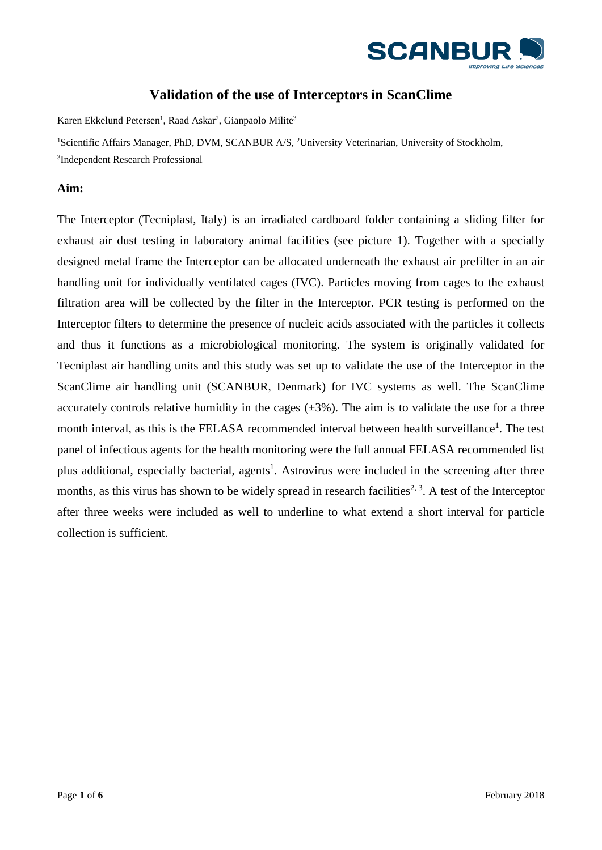

# **Validation of the use of Interceptors in ScanClime**

Karen Ekkelund Petersen<sup>1</sup>, Raad Askar<sup>2</sup>, Gianpaolo Milite<sup>3</sup>

<sup>1</sup>Scientific Affairs Manager, PhD, DVM, SCANBUR A/S, <sup>2</sup>University Veterinarian, University of Stockholm, 3 Independent Research Professional

## **Aim:**

The Interceptor (Tecniplast, Italy) is an irradiated cardboard folder containing a sliding filter for exhaust air dust testing in laboratory animal facilities (see picture 1). Together with a specially designed metal frame the Interceptor can be allocated underneath the exhaust air prefilter in an air handling unit for individually ventilated cages (IVC). Particles moving from cages to the exhaust filtration area will be collected by the filter in the Interceptor. PCR testing is performed on the Interceptor filters to determine the presence of nucleic acids associated with the particles it collects and thus it functions as a microbiological monitoring. The system is originally validated for Tecniplast air handling units and this study was set up to validate the use of the Interceptor in the ScanClime air handling unit (SCANBUR, Denmark) for IVC systems as well. The ScanClime accurately controls relative humidity in the cages  $(\pm 3\%)$ . The aim is to validate the use for a three month interval, as this is the FELASA recommended interval between health surveillance<sup>1</sup>. The test panel of infectious agents for the health monitoring were the full annual FELASA recommended list plus additional, especially bacterial, agents<sup>1</sup>. Astrovirus were included in the screening after three months, as this virus has shown to be widely spread in research facilities<sup>2, 3</sup>. A test of the Interceptor after three weeks were included as well to underline to what extend a short interval for particle collection is sufficient.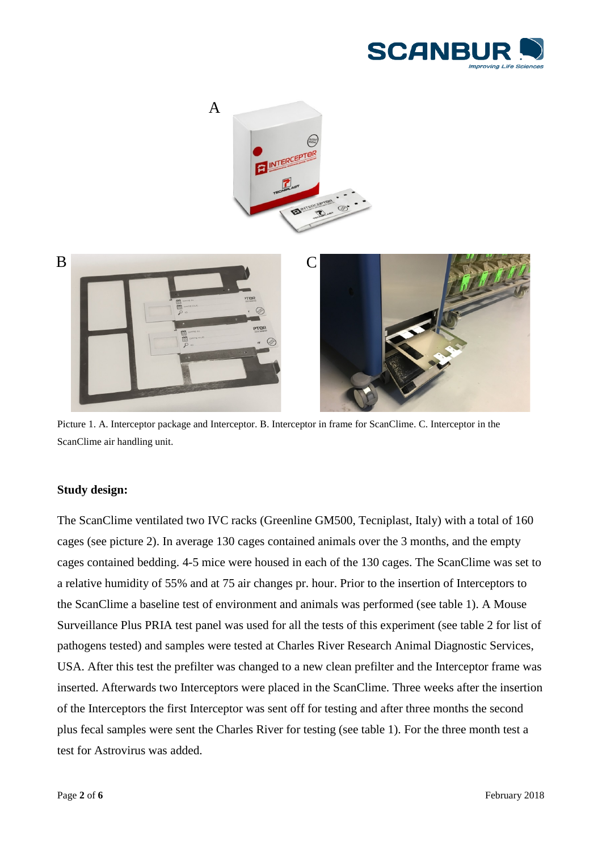



Picture 1. A. Interceptor package and Interceptor. B. Interceptor in frame for ScanClime. C. Interceptor in the ScanClime air handling unit.

#### **Study design:**

The ScanClime ventilated two IVC racks (Greenline GM500, Tecniplast, Italy) with a total of 160 cages (see picture 2). In average 130 cages contained animals over the 3 months, and the empty cages contained bedding. 4-5 mice were housed in each of the 130 cages. The ScanClime was set to a relative humidity of 55% and at 75 air changes pr. hour. Prior to the insertion of Interceptors to the ScanClime a baseline test of environment and animals was performed (see table 1). A Mouse Surveillance Plus PRIA test panel was used for all the tests of this experiment (see table 2 for list of pathogens tested) and samples were tested at Charles River Research Animal Diagnostic Services, USA. After this test the prefilter was changed to a new clean prefilter and the Interceptor frame was inserted. Afterwards two Interceptors were placed in the ScanClime. Three weeks after the insertion of the Interceptors the first Interceptor was sent off for testing and after three months the second plus fecal samples were sent the Charles River for testing (see table 1). For the three month test a test for Astrovirus was added.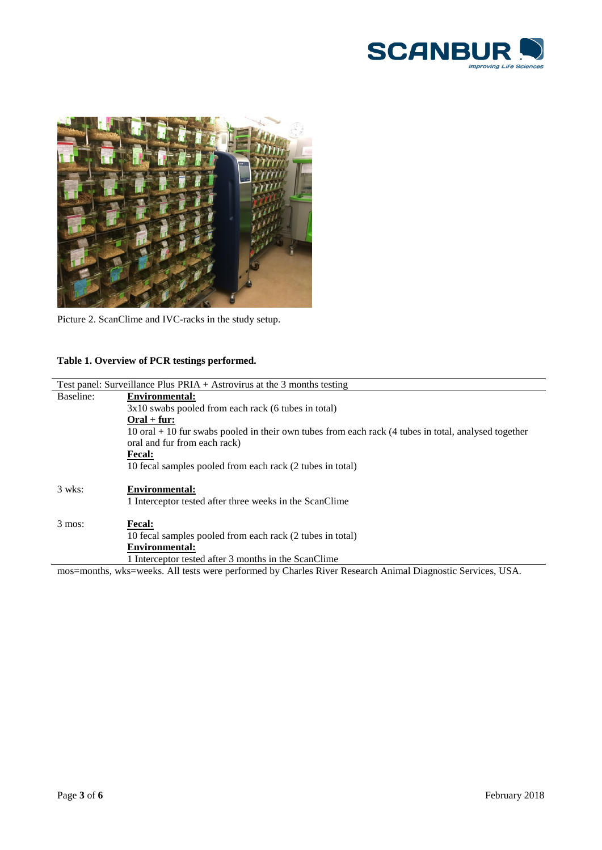



Picture 2. ScanClime and IVC-racks in the study setup.

## **Table 1. Overview of PCR testings performed.**

| Test panel: Surveillance Plus PRIA $+$ Astrovirus at the 3 months testing                                  |                                                                                                          |  |  |  |  |
|------------------------------------------------------------------------------------------------------------|----------------------------------------------------------------------------------------------------------|--|--|--|--|
| Baseline:                                                                                                  | <b>Environmental:</b>                                                                                    |  |  |  |  |
|                                                                                                            | $3x10$ swabs pooled from each rack (6 tubes in total)                                                    |  |  |  |  |
|                                                                                                            | $Oral + fur:$                                                                                            |  |  |  |  |
|                                                                                                            | $10$ oral $+ 10$ fur swabs pooled in their own tubes from each rack (4 tubes in total, analysed together |  |  |  |  |
|                                                                                                            | oral and fur from each rack)                                                                             |  |  |  |  |
|                                                                                                            | <b>Fecal:</b>                                                                                            |  |  |  |  |
|                                                                                                            | 10 fecal samples pooled from each rack (2 tubes in total)                                                |  |  |  |  |
|                                                                                                            |                                                                                                          |  |  |  |  |
| $3$ wks:                                                                                                   | <b>Environmental:</b>                                                                                    |  |  |  |  |
|                                                                                                            | 1 Interceptor tested after three weeks in the ScanClime                                                  |  |  |  |  |
|                                                                                                            |                                                                                                          |  |  |  |  |
| $3$ mos:                                                                                                   | <b>Fecal:</b>                                                                                            |  |  |  |  |
|                                                                                                            | 10 fecal samples pooled from each rack (2 tubes in total)                                                |  |  |  |  |
|                                                                                                            | <b>Environmental:</b>                                                                                    |  |  |  |  |
|                                                                                                            | 1 Interceptor tested after 3 months in the ScanClime                                                     |  |  |  |  |
| mos=months, wks=weeks. All tests were performed by Charles River Research Animal Diagnostic Services, USA. |                                                                                                          |  |  |  |  |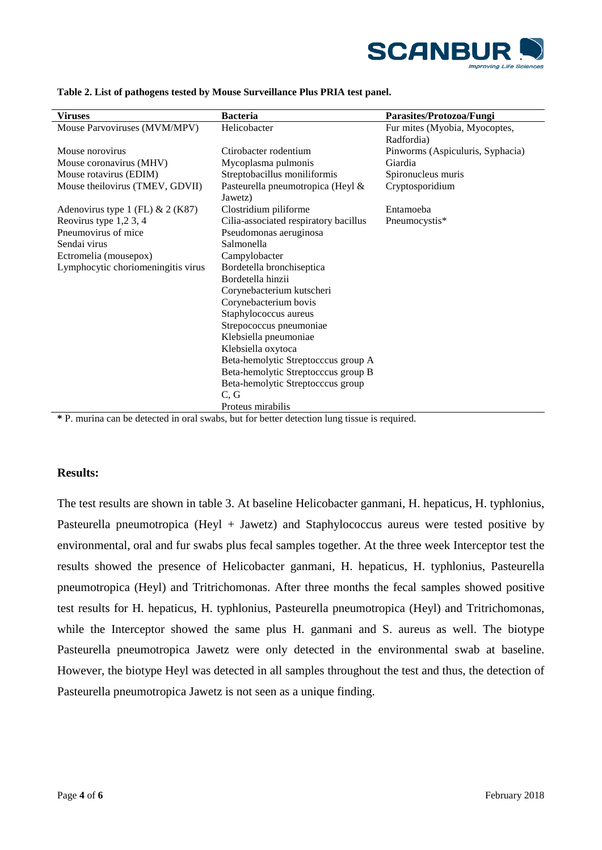

| <b>Viruses</b>                     | <b>Bacteria</b>                       | Parasites/Protozoa/Fungi         |  |  |  |
|------------------------------------|---------------------------------------|----------------------------------|--|--|--|
| Mouse Parvoviruses (MVM/MPV)       | Helicobacter                          | Fur mites (Myobia, Myocoptes,    |  |  |  |
|                                    |                                       | Radfordia)                       |  |  |  |
| Mouse norovirus                    | Ctirobacter rodentium                 | Pinworms (Aspiculuris, Syphacia) |  |  |  |
| Mouse coronavirus (MHV)            | Mycoplasma pulmonis                   | Giardia                          |  |  |  |
| Mouse rotavirus (EDIM)             | Streptobacillus moniliformis          | Spironucleus muris               |  |  |  |
| Mouse theilovirus (TMEV, GDVII)    | Pasteurella pneumotropica (Heyl &     | Cryptosporidium                  |  |  |  |
|                                    | Jawetz)                               |                                  |  |  |  |
| Adenovirus type 1 (FL) & 2 (K87)   | Clostridium piliforme                 | Entamoeba                        |  |  |  |
| Reovirus type 1,2 3, 4             | Cilia-associated respiratory bacillus | Pneumocystis*                    |  |  |  |
| Pneumovirus of mice                | Pseudomonas aeruginosa                |                                  |  |  |  |
| Sendai virus                       | Salmonella                            |                                  |  |  |  |
| Ectromelia (mousepox)              | Campylobacter                         |                                  |  |  |  |
| Lymphocytic choriomeningitis virus | Bordetella bronchiseptica             |                                  |  |  |  |
|                                    | Bordetella hinzii                     |                                  |  |  |  |
|                                    | Corynebacterium kutscheri             |                                  |  |  |  |
|                                    | Corynebacterium bovis                 |                                  |  |  |  |
|                                    | Staphylococcus aureus                 |                                  |  |  |  |
|                                    | Strepococcus pneumoniae               |                                  |  |  |  |
|                                    | Klebsiella pneumoniae                 |                                  |  |  |  |
|                                    | Klebsiella oxytoca                    |                                  |  |  |  |
|                                    | Beta-hemolytic Streptocccus group A   |                                  |  |  |  |
|                                    | Beta-hemolytic Streptocccus group B   |                                  |  |  |  |
|                                    | Beta-hemolytic Streptocccus group     |                                  |  |  |  |
|                                    | C, G                                  |                                  |  |  |  |
|                                    | Proteus mirabilis                     |                                  |  |  |  |

**Table 2. List of pathogens tested by Mouse Surveillance Plus PRIA test panel.** 

**\*** P. murina can be detected in oral swabs, but for better detection lung tissue is required.

#### **Results:**

The test results are shown in table 3. At baseline Helicobacter ganmani, H. hepaticus, H. typhlonius, Pasteurella pneumotropica (Heyl + Jawetz) and Staphylococcus aureus were tested positive by environmental, oral and fur swabs plus fecal samples together. At the three week Interceptor test the results showed the presence of Helicobacter ganmani, H. hepaticus, H. typhlonius, Pasteurella pneumotropica (Heyl) and Tritrichomonas. After three months the fecal samples showed positive test results for H. hepaticus, H. typhlonius, Pasteurella pneumotropica (Heyl) and Tritrichomonas, while the Interceptor showed the same plus H. ganmani and S. aureus as well. The biotype Pasteurella pneumotropica Jawetz were only detected in the environmental swab at baseline. However, the biotype Heyl was detected in all samples throughout the test and thus, the detection of Pasteurella pneumotropica Jawetz is not seen as a unique finding.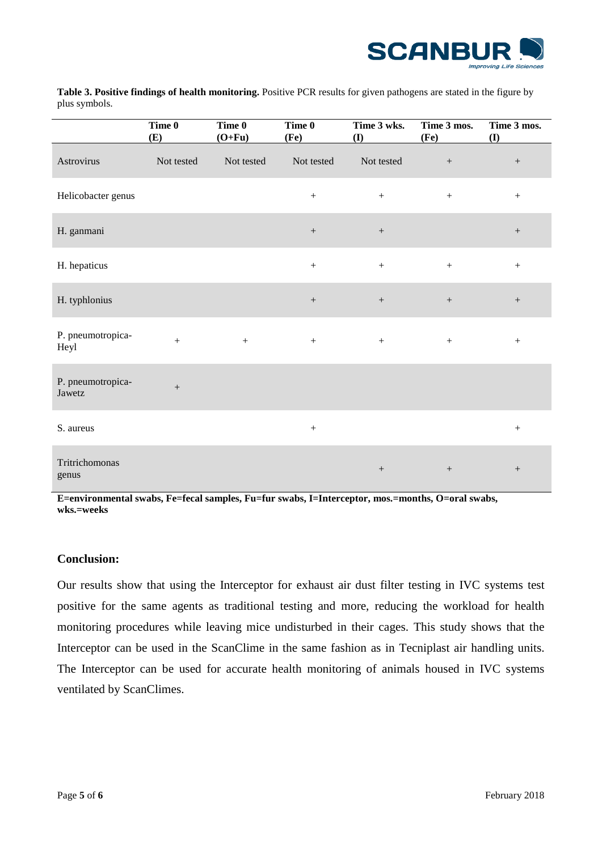

**Table 3. Positive findings of health monitoring.** Positive PCR results for given pathogens are stated in the figure by plus symbols.

|                             | Time 0<br>(E)    | Time 0<br>$(O+Fu)$ | Time 0<br>(Fe)   | Time 3 wks.<br>(I) | Time 3 mos.<br>(F <sub>e</sub> ) | Time 3 mos.<br>$\left( \mathbf{I}\right)$ |
|-----------------------------|------------------|--------------------|------------------|--------------------|----------------------------------|-------------------------------------------|
| Astrovirus                  | Not tested       | Not tested         | Not tested       | Not tested         | $\boldsymbol{+}$                 | $\boldsymbol{+}$                          |
| Helicobacter genus          |                  |                    | $\boldsymbol{+}$ | $\boldsymbol{+}$   | $\boldsymbol{+}$                 | $\boldsymbol{+}$                          |
| H. ganmani                  |                  |                    | $\boldsymbol{+}$ | $\boldsymbol{+}$   |                                  | $\boldsymbol{+}$                          |
| H. hepaticus                |                  |                    | $\boldsymbol{+}$ | $\boldsymbol{+}$   | $\boldsymbol{+}$                 | $+$                                       |
| H. typhlonius               |                  |                    | $\boldsymbol{+}$ | $\boldsymbol{+}$   | $\boldsymbol{+}$                 | $\boldsymbol{+}$                          |
| P. pneumotropica-<br>Heyl   | $\boldsymbol{+}$ | $+$                | $+$              | $\boldsymbol{+}$   | $\boldsymbol{+}$                 | $\boldsymbol{+}$                          |
| P. pneumotropica-<br>Jawetz | $\boldsymbol{+}$ |                    |                  |                    |                                  |                                           |
| S. aureus                   |                  |                    | $+$              |                    |                                  | $\boldsymbol{+}$                          |
| Tritrichomonas<br>genus     |                  |                    |                  |                    | $+$                              | $+$                                       |

**E=environmental swabs, Fe=fecal samples, Fu=fur swabs, I=Interceptor, mos.=months, O=oral swabs, wks.=weeks**

## **Conclusion:**

Our results show that using the Interceptor for exhaust air dust filter testing in IVC systems test positive for the same agents as traditional testing and more, reducing the workload for health monitoring procedures while leaving mice undisturbed in their cages. This study shows that the Interceptor can be used in the ScanClime in the same fashion as in Tecniplast air handling units. The Interceptor can be used for accurate health monitoring of animals housed in IVC systems ventilated by ScanClimes.